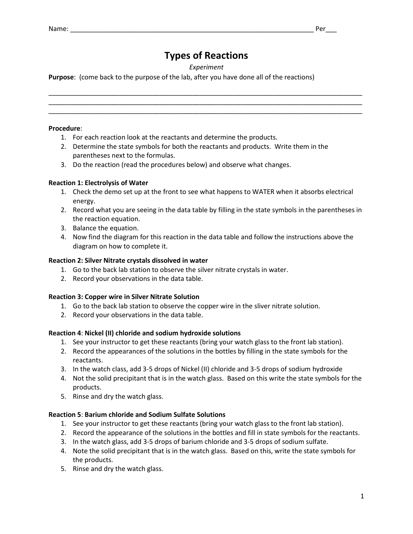# **Types of Reactions**

## *Experiment*

\_\_\_\_\_\_\_\_\_\_\_\_\_\_\_\_\_\_\_\_\_\_\_\_\_\_\_\_\_\_\_\_\_\_\_\_\_\_\_\_\_\_\_\_\_\_\_\_\_\_\_\_\_\_\_\_\_\_\_\_\_\_\_\_\_\_\_\_\_\_\_\_\_\_\_\_\_\_\_\_\_\_\_\_\_ \_\_\_\_\_\_\_\_\_\_\_\_\_\_\_\_\_\_\_\_\_\_\_\_\_\_\_\_\_\_\_\_\_\_\_\_\_\_\_\_\_\_\_\_\_\_\_\_\_\_\_\_\_\_\_\_\_\_\_\_\_\_\_\_\_\_\_\_\_\_\_\_\_\_\_\_\_\_\_\_\_\_\_\_\_ \_\_\_\_\_\_\_\_\_\_\_\_\_\_\_\_\_\_\_\_\_\_\_\_\_\_\_\_\_\_\_\_\_\_\_\_\_\_\_\_\_\_\_\_\_\_\_\_\_\_\_\_\_\_\_\_\_\_\_\_\_\_\_\_\_\_\_\_\_\_\_\_\_\_\_\_\_\_\_\_\_\_\_\_\_

**Purpose**: (come back to the purpose of the lab, after you have done all of the reactions)

#### **Procedure**:

- 1. For each reaction look at the reactants and determine the products.
- 2. Determine the state symbols for both the reactants and products. Write them in the parentheses next to the formulas.
- 3. Do the reaction (read the procedures below) and observe what changes.

#### **Reaction 1: Electrolysis of Water**

- 1. Check the demo set up at the front to see what happens to WATER when it absorbs electrical energy.
- 2. Record what you are seeing in the data table by filling in the state symbols in the parentheses in the reaction equation.
- 3. Balance the equation.
- 4. Now find the diagram for this reaction in the data table and follow the instructions above the diagram on how to complete it.

## **Reaction 2: Silver Nitrate crystals dissolved in water**

- 1. Go to the back lab station to observe the silver nitrate crystals in water.
- 2. Record your observations in the data table.

## **Reaction 3: Copper wire in Silver Nitrate Solution**

- 1. Go to the back lab station to observe the copper wire in the sliver nitrate solution.
- 2. Record your observations in the data table.

#### **Reaction 4**: **Nickel (II) chloride and sodium hydroxide solutions**

- 1. See your instructor to get these reactants (bring your watch glass to the front lab station).
- 2. Record the appearances of the solutions in the bottles by filling in the state symbols for the reactants.
- 3. In the watch class, add 3-5 drops of Nickel (II) chloride and 3-5 drops of sodium hydroxide
- 4. Not the solid precipitant that is in the watch glass. Based on this write the state symbols for the products.
- 5. Rinse and dry the watch glass.

## **Reaction 5**: **Barium chloride and Sodium Sulfate Solutions**

- 1. See your instructor to get these reactants (bring your watch glass to the front lab station).
- 2. Record the appearance of the solutions in the bottles and fill in state symbols for the reactants.
- 3. In the watch glass, add 3-5 drops of barium chloride and 3-5 drops of sodium sulfate.
- 4. Note the solid precipitant that is in the watch glass. Based on this, write the state symbols for the products.
- 5. Rinse and dry the watch glass.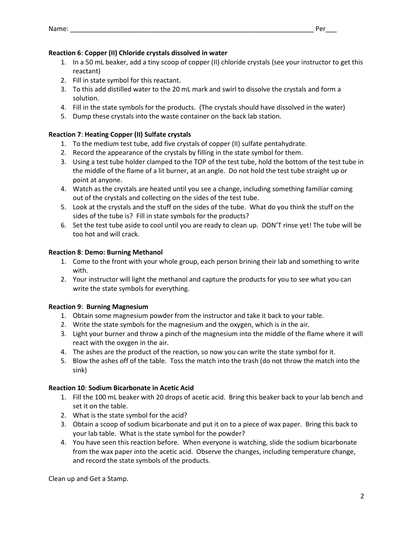- 1. In a 50 mL beaker, add a tiny scoop of copper (II) chloride crystals (see your instructor to get this reactant)
- 2. Fill in state symbol for this reactant.
- 3. To this add distilled water to the 20 mL mark and swirl to dissolve the crystals and form a solution.
- 4. Fill in the state symbols for the products. (The crystals should have dissolved in the water)
- 5. Dump these crystals into the waste container on the back lab station.

# **Reaction 7**: **Heating Copper (II) Sulfate crystals**

- 1. To the medium test tube, add five crystals of copper (II) sulfate pentahydrate.
- 2. Record the appearance of the crystals by filling in the state symbol for them.
- 3. Using a test tube holder clamped to the TOP of the test tube, hold the bottom of the test tube in the middle of the flame of a lit burner, at an angle. Do not hold the test tube straight up or point at anyone.
- 4. Watch as the crystals are heated until you see a change, including something familiar coming out of the crystals and collecting on the sides of the test tube.
- 5. Look at the crystals and the stuff on the sides of the tube. What do you think the stuff on the sides of the tube is? Fill in state symbols for the products?
- 6. Set the test tube aside to cool until you are ready to clean up. DON'T rinse yet! The tube will be too hot and will crack.

# **Reaction 8**: **Demo: Burning Methanol**

- 1. Come to the front with your whole group, each person brining their lab and something to write with.
- 2. Your instructor will light the methanol and capture the products for you to see what you can write the state symbols for everything.

# **Reaction 9**: **Burning Magnesium**

- 1. Obtain some magnesium powder from the instructor and take it back to your table.
- 2. Write the state symbols for the magnesium and the oxygen, which is in the air.
- 3. Light your burner and throw a pinch of the magnesium into the middle of the flame where it will react with the oxygen in the air.
- 4. The ashes are the product of the reaction, so now you can write the state symbol for it.
- 5. Blow the ashes off of the table. Toss the match into the trash (do not throw the match into the sink)

# **Reaction 10**: **Sodium Bicarbonate in Acetic Acid**

- 1. Fill the 100 mL beaker with 20 drops of acetic acid. Bring this beaker back to your lab bench and set it on the table.
- 2. What is the state symbol for the acid?
- 3. Obtain a scoop of sodium bicarbonate and put it on to a piece of wax paper. Bring this back to your lab table. What is the state symbol for the powder?
- 4. You have seen this reaction before. When everyone is watching, slide the sodium bicarbonate from the wax paper into the acetic acid. Observe the changes, including temperature change, and record the state symbols of the products.

Clean up and Get a Stamp.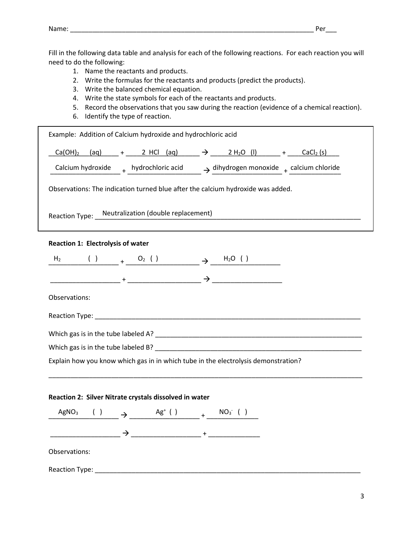Fill in the following data table and analysis for each of the following reactions. For each reaction you will need to do the following:

- 1. Name the reactants and products.
- 2. Write the formulas for the reactants and products (predict the products).
- 3. Write the balanced chemical equation.
- 4. Write the state symbols for each of the reactants and products.
- 5. Record the observations that you saw during the reaction (evidence of a chemical reaction).
- 6. Identify the type of reaction.

|                                                                                    |  |  |  |  | $Ca(OH)_2$ (aq) + 2 HCl (aq) $\rightarrow$ 2 H <sub>2</sub> O (I) + CaCl <sub>2</sub> (s)      |
|------------------------------------------------------------------------------------|--|--|--|--|------------------------------------------------------------------------------------------------|
|                                                                                    |  |  |  |  | Calcium hydroxide $+$ hydrochloric acid $\rightarrow$ dihydrogen monoxide $+$ calcium chloride |
| Observations: The indication turned blue after the calcium hydroxide was added.    |  |  |  |  |                                                                                                |
| Reaction Type: __Neutralization (double replacement)                               |  |  |  |  |                                                                                                |
| <b>Reaction 1: Electrolysis of water</b>                                           |  |  |  |  |                                                                                                |
| $H_2$ ( ) $+$ $O_2$ ( ) $+$ $H_2O$ ( )                                             |  |  |  |  |                                                                                                |
|                                                                                    |  |  |  |  |                                                                                                |
| Observations:                                                                      |  |  |  |  |                                                                                                |
|                                                                                    |  |  |  |  |                                                                                                |
|                                                                                    |  |  |  |  |                                                                                                |
|                                                                                    |  |  |  |  |                                                                                                |
|                                                                                    |  |  |  |  |                                                                                                |
|                                                                                    |  |  |  |  |                                                                                                |
| Explain how you know which gas in in which tube in the electrolysis demonstration? |  |  |  |  |                                                                                                |
| Reaction 2: Silver Nitrate crystals dissolved in water                             |  |  |  |  |                                                                                                |
| AgNO <sub>3</sub> ( ) $\rightarrow$ $\frac{Ag^+()}{=}$ + $\frac{NO_3^-()}{}$       |  |  |  |  |                                                                                                |
|                                                                                    |  |  |  |  |                                                                                                |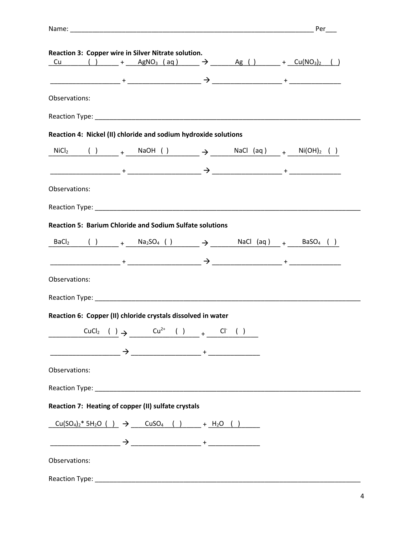| Nam⊬ |  |
|------|--|
|      |  |

|                | Reaction 3: Copper wire in Silver Nitrate solution.             |  |  |                                                                                                 |  |
|----------------|-----------------------------------------------------------------|--|--|-------------------------------------------------------------------------------------------------|--|
|                |                                                                 |  |  | $Cu$ () $+$ AgNO <sub>3</sub> (aq) $\rightarrow$ Ag () $+$ Cu(NO <sub>3</sub> ) <sub>2</sub> () |  |
|                |                                                                 |  |  |                                                                                                 |  |
|                |                                                                 |  |  |                                                                                                 |  |
| Observations:  |                                                                 |  |  |                                                                                                 |  |
|                |                                                                 |  |  |                                                                                                 |  |
|                |                                                                 |  |  |                                                                                                 |  |
|                | Reaction 4: Nickel (II) chloride and sodium hydroxide solutions |  |  |                                                                                                 |  |
|                |                                                                 |  |  | $NiCl_2$ ( ) $+$ $NaOH$ ( ) $\rightarrow$ $NaCl$ $(aq)$ $+$ $Ni(OH)_2$ ( )                      |  |
|                |                                                                 |  |  |                                                                                                 |  |
|                |                                                                 |  |  |                                                                                                 |  |
| Observations:  |                                                                 |  |  |                                                                                                 |  |
|                |                                                                 |  |  |                                                                                                 |  |
|                |                                                                 |  |  |                                                                                                 |  |
|                | <b>Reaction 5: Barium Chloride and Sodium Sulfate solutions</b> |  |  |                                                                                                 |  |
|                |                                                                 |  |  |                                                                                                 |  |
|                |                                                                 |  |  | $BaCl2$ ( ) $+$ $Na2SO4$ ( ) $\rightarrow$ $MaCl$ $(aq)$ $+$ $BaSO4$ ( )                        |  |
|                |                                                                 |  |  |                                                                                                 |  |
|                |                                                                 |  |  |                                                                                                 |  |
| Observations:  |                                                                 |  |  |                                                                                                 |  |
|                |                                                                 |  |  |                                                                                                 |  |
|                | Reaction 6: Copper (II) chloride crystals dissolved in water    |  |  |                                                                                                 |  |
|                |                                                                 |  |  |                                                                                                 |  |
|                |                                                                 |  |  | CuCl <sub>2</sub> ( ) $\rightarrow$ Cu <sup>2+</sup> ( ) + Cl <sup>-</sup> ( )                  |  |
|                |                                                                 |  |  |                                                                                                 |  |
|                |                                                                 |  |  |                                                                                                 |  |
| Observations:  |                                                                 |  |  |                                                                                                 |  |
|                |                                                                 |  |  |                                                                                                 |  |
|                |                                                                 |  |  |                                                                                                 |  |
|                | Reaction 7: Heating of copper (II) sulfate crystals             |  |  |                                                                                                 |  |
|                |                                                                 |  |  | $Cu(SO_4)_2^* 5H_2O$ ( ) $\rightarrow$ $CuSO_4$ ( ) $+ H_2O$ ( )                                |  |
|                |                                                                 |  |  |                                                                                                 |  |
|                |                                                                 |  |  |                                                                                                 |  |
| Observations:  |                                                                 |  |  |                                                                                                 |  |
|                |                                                                 |  |  |                                                                                                 |  |
| Reaction Type: |                                                                 |  |  |                                                                                                 |  |